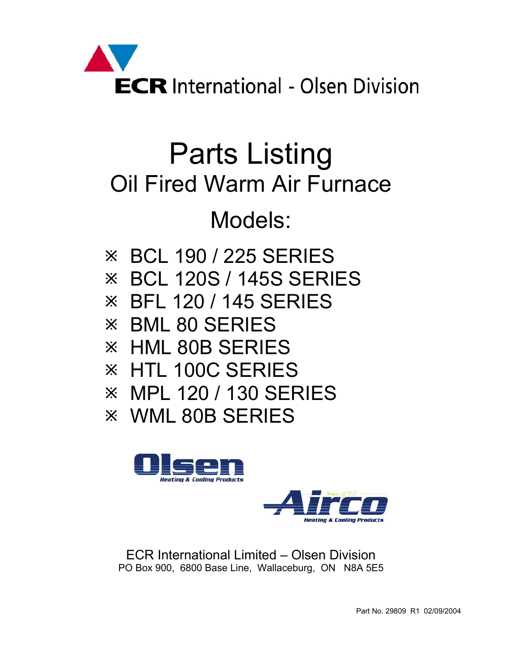

# Parts Listing Oil Fired Warm Air Furnace

## Models:

- $\overline{\mathcal{X}}$  BCL 190 / 225 SERIES
- $\overline{\mathcal{X}}$  BCL 120S / 145S SERIES
- $\frac{1}{2}$  BFL 120 / 145 SERIES
- $\times$  BML 80 SERIES
- $\times$  HML 80B SERIES
- **EX HTL 100C SERIES**
- Ú MPL 120 / 130 SERIES
- $\times$  **WML 80B SERIES**





ECR International Limited – Olsen Division PO Box 900, 6800 Base Line, Wallaceburg, ON N8A 5E5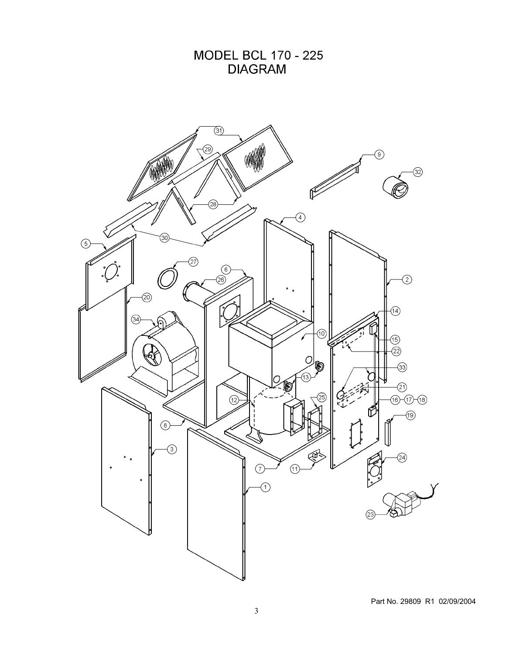**MODEL BCL 170 - 225 DIAGRAM** 

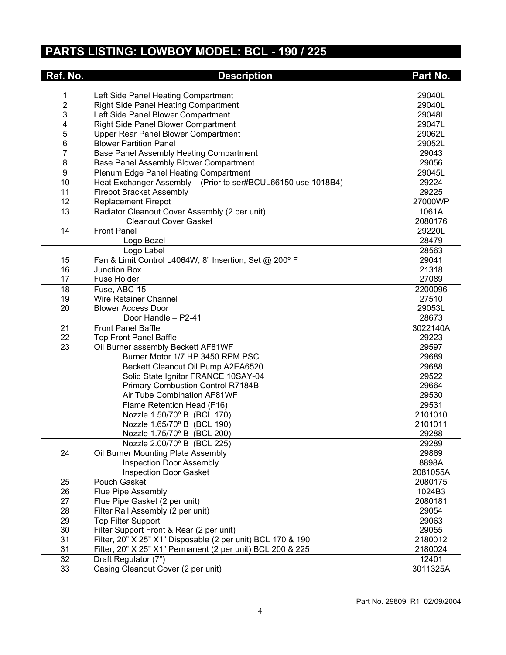## **PARTS LISTING: LOWBOY MODEL: BCL - 190 / 225**

| Ref. No.       | <b>Description</b>                                                            | Part No.         |
|----------------|-------------------------------------------------------------------------------|------------------|
|                |                                                                               |                  |
| 1              | Left Side Panel Heating Compartment                                           | 29040L           |
| $\overline{c}$ | <b>Right Side Panel Heating Compartment</b>                                   | 29040L           |
| 3              | Left Side Panel Blower Compartment                                            | 29048L           |
| 4              | <b>Right Side Panel Blower Compartment</b>                                    | 29047L           |
| 5              | Upper Rear Panel Blower Compartment                                           | 29062L           |
| 6              | <b>Blower Partition Panel</b>                                                 | 29052L           |
| $\overline{7}$ | Base Panel Assembly Heating Compartment                                       | 29043            |
| 8              | Base Panel Assembly Blower Compartment                                        | 29056            |
| 9              | Plenum Edge Panel Heating Compartment                                         | 29045L           |
| 10             | Heat Exchanger Assembly (Prior to ser#BCUL66150 use 1018B4)                   | 29224            |
| 11             | <b>Firepot Bracket Assembly</b>                                               | 29225            |
| 12             | <b>Replacement Firepot</b>                                                    | 27000WP          |
| 13             | Radiator Cleanout Cover Assembly (2 per unit)<br><b>Cleanout Cover Gasket</b> | 1061A<br>2080176 |
| 14             | <b>Front Panel</b>                                                            | 29220L           |
|                | Logo Bezel                                                                    | 28479            |
|                | Logo Label                                                                    | 28563            |
| 15             | Fan & Limit Control L4064W, 8" Insertion, Set @ 200° F                        | 29041            |
| 16             | <b>Junction Box</b>                                                           | 21318            |
| 17             | <b>Fuse Holder</b>                                                            | 27089            |
| 18             | Fuse, ABC-15                                                                  | 2200096          |
| 19             | Wire Retainer Channel                                                         | 27510            |
| 20             | <b>Blower Access Door</b>                                                     | 29053L           |
|                | Door Handle - P2-41                                                           | 28673            |
| 21             | <b>Front Panel Baffle</b>                                                     | 3022140A         |
| 22             | <b>Top Front Panel Baffle</b>                                                 | 29223            |
| 23             | Oil Burner assembly Beckett AF81WF                                            | 29597            |
|                | Burner Motor 1/7 HP 3450 RPM PSC                                              | 29689            |
|                | Beckett Cleancut Oil Pump A2EA6520                                            | 29688            |
|                | Solid State Ignitor FRANCE 10SAY-04                                           | 29522            |
|                | <b>Primary Combustion Control R7184B</b>                                      | 29664            |
|                | Air Tube Combination AF81WF                                                   | 29530            |
|                | Flame Retention Head (F16)                                                    | 29531            |
|                | Nozzle 1.50/70° B (BCL 170)                                                   | 2101010          |
|                | Nozzle 1.65/70° B (BCL 190)                                                   | 2101011          |
|                | Nozzle 1.75/70° B (BCL 200)                                                   | 29288            |
|                | Nozzle 2.00/70° B (BCL 225)                                                   | 29289            |
| 24             | Oil Burner Mounting Plate Assembly                                            | 29869            |
|                | <b>Inspection Door Assembly</b>                                               | 8898A            |
|                | <b>Inspection Door Gasket</b>                                                 | 2081055A         |
| 25             | Pouch Gasket                                                                  | 2080175          |
| 26             | Flue Pipe Assembly                                                            | 1024B3           |
| 27             | Flue Pipe Gasket (2 per unit)                                                 | 2080181          |
| 28             | Filter Rail Assembly (2 per unit)                                             | 29054            |
| 29             | <b>Top Filter Support</b><br>Filter Support Front & Rear (2 per unit)         | 29063<br>29055   |
| 30<br>31       | Filter, 20" X 25" X1" Disposable (2 per unit) BCL 170 & 190                   | 2180012          |
| 31             | Filter, 20" X 25" X1" Permanent (2 per unit) BCL 200 & 225                    | 2180024          |
| 32             | Draft Regulator (7")                                                          | 12401            |
| 33             | Casing Cleanout Cover (2 per unit)                                            | 3011325A         |
|                |                                                                               |                  |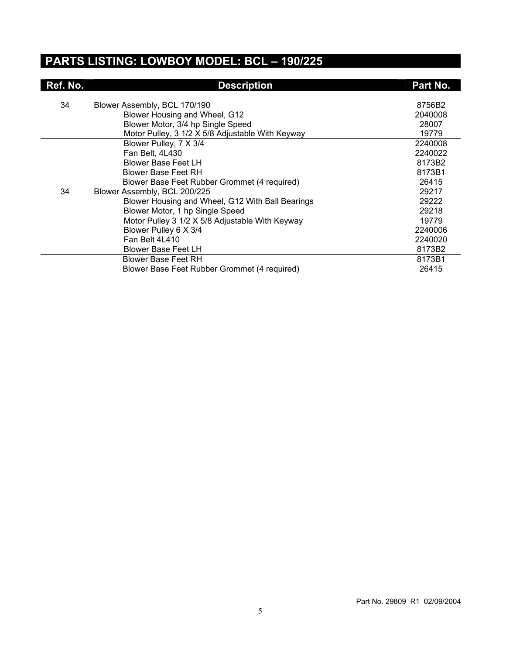#### **PARTS LISTING: LOWBOY MODEL: BCL – 190/225**

| Ref. No. | <b>Description</b>                               | Part No. |
|----------|--------------------------------------------------|----------|
| 34       | Blower Assembly, BCL 170/190                     | 8756B2   |
|          |                                                  | 2040008  |
|          | Blower Housing and Wheel, G12                    |          |
|          | Blower Motor, 3/4 hp Single Speed                | 28007    |
|          | Motor Pulley, 3 1/2 X 5/8 Adjustable With Keyway | 19779    |
|          | Blower Pulley, 7 X 3/4                           | 2240008  |
|          | Fan Belt, 4L430                                  | 2240022  |
|          | <b>Blower Base Feet LH</b>                       | 8173B2   |
|          | Blower Base Feet RH                              | 8173B1   |
|          | Blower Base Feet Rubber Grommet (4 required)     | 26415    |
| 34       | Blower Assembly, BCL 200/225                     | 29217    |
|          | Blower Housing and Wheel, G12 With Ball Bearings | 29222    |
|          | Blower Motor, 1 hp Single Speed                  | 29218    |
|          | Motor Pulley 3 1/2 X 5/8 Adjustable With Keyway  | 19779    |
|          | Blower Pulley 6 X 3/4                            | 2240006  |
|          | Fan Belt 4L410                                   | 2240020  |
|          | <b>Blower Base Feet LH</b>                       | 8173B2   |
|          | Blower Base Feet RH                              | 8173B1   |
|          | Blower Base Feet Rubber Grommet (4 required)     | 26415    |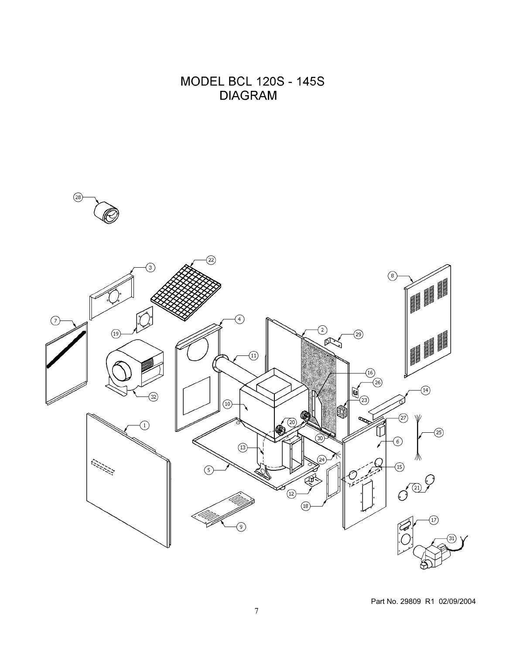**MODEL BCL 120S - 145S DIAGRAM** 

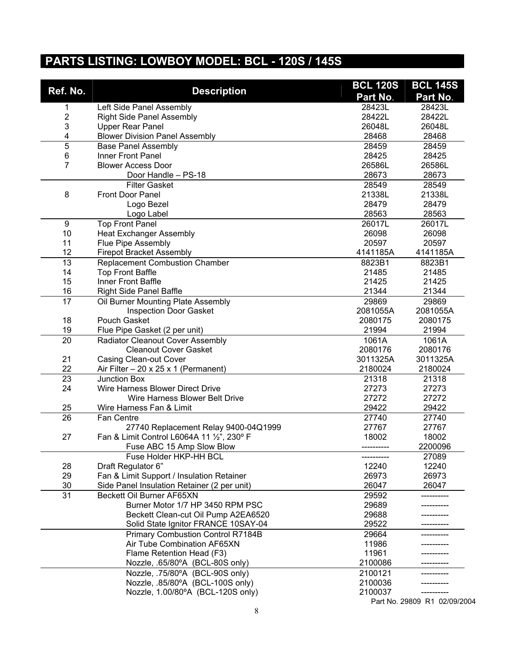## **PARTS LISTING: LOWBOY MODEL: BCL - 120S / 145S**

|                 |                                                 | <b>BCL 120S</b> | <b>BCL 145S</b>               |
|-----------------|-------------------------------------------------|-----------------|-------------------------------|
| Ref. No.        | <b>Description</b>                              | Part No.        | Part No.                      |
| 1               | Left Side Panel Assembly                        | 28423L          | 28423L                        |
| $\overline{2}$  | <b>Right Side Panel Assembly</b>                | 28422L          | 28422L                        |
| 3               | <b>Upper Rear Panel</b>                         | 26048L          | 26048L                        |
| 4               | <b>Blower Division Panel Assembly</b>           | 28468           | 28468                         |
| 5               | <b>Base Panel Assembly</b>                      | 28459           | 28459                         |
| 6               | Inner Front Panel                               | 28425           | 28425                         |
| 7               | <b>Blower Access Door</b>                       | 26586L          | 26586L                        |
|                 | Door Handle - PS-18                             | 28673           | 28673                         |
|                 | <b>Filter Gasket</b>                            | 28549           | 28549                         |
| 8               | Front Door Panel                                | 21338L          | 21338L                        |
|                 | Logo Bezel                                      | 28479           | 28479                         |
|                 | Logo Label                                      | 28563           | 28563                         |
| 9               | <b>Top Front Panel</b>                          | 26017L          | 26017L                        |
| 10              | <b>Heat Exchanger Assembly</b>                  | 26098           | 26098                         |
| 11              | Flue Pipe Assembly                              | 20597           | 20597                         |
| 12              | <b>Firepot Bracket Assembly</b>                 | 4141185A        | 4141185A                      |
| $\overline{13}$ | <b>Replacement Combustion Chamber</b>           | 8823B1          | 8823B1                        |
| 14              | <b>Top Front Baffle</b>                         | 21485           | 21485                         |
| 15              | Inner Front Baffle                              | 21425           | 21425                         |
| 16              | <b>Right Side Panel Baffle</b>                  | 21344           | 21344                         |
| 17              | Oil Burner Mounting Plate Assembly              | 29869           | 29869                         |
|                 | <b>Inspection Door Gasket</b>                   | 2081055A        | 2081055A                      |
| 18              | Pouch Gasket                                    | 2080175         | 2080175                       |
| 19              | Flue Pipe Gasket (2 per unit)                   | 21994           | 21994                         |
| 20              | <b>Radiator Cleanout Cover Assembly</b>         | 1061A           | 1061A                         |
|                 | <b>Cleanout Cover Gasket</b>                    | 2080176         | 2080176                       |
| 21              | <b>Casing Clean-out Cover</b>                   | 3011325A        | 3011325A                      |
| 22              | Air Filter $-20 \times 25 \times 1$ (Permanent) | 2180024         | 2180024                       |
| 23              | <b>Junction Box</b>                             | 21318           | 21318                         |
| 24              | Wire Harness Blower Direct Drive                | 27273           | 27273                         |
|                 | Wire Harness Blower Belt Drive                  | 27272           | 27272                         |
| 25              | Wire Harness Fan & Limit                        | 29422           | 29422                         |
| 26              | Fan Centre                                      | 27740           | 27740                         |
|                 | 27740 Replacement Relay 9400-04Q1999            | 27767           | 27767                         |
| 27              | Fan & Limit Control L6064A 11 1/2", 230° F      | 18002           | 18002                         |
|                 | Fuse ABC 15 Amp Slow Blow                       |                 | 2200096                       |
|                 | Fuse Holder HKP-HH BCL                          |                 | 27089                         |
| 28              | Draft Regulator 6"                              | 12240           | 12240                         |
| 29              | Fan & Limit Support / Insulation Retainer       | 26973           | 26973                         |
| 30              | Side Panel Insulation Retainer (2 per unit)     | 26047           | 26047                         |
| 31              | Beckett Oil Burner AF65XN                       | 29592           |                               |
|                 | Burner Motor 1/7 HP 3450 RPM PSC                | 29689           |                               |
|                 | Beckett Clean-cut Oil Pump A2EA6520             | 29688           |                               |
|                 | Solid State Ignitor FRANCE 10SAY-04             | 29522           |                               |
|                 | Primary Combustion Control R7184B               | 29664           |                               |
|                 | Air Tube Combination AF65XN                     | 11986<br>11961  |                               |
|                 | Flame Retention Head (F3)                       | 2100086         |                               |
|                 | Nozzle, .65/80°A (BCL-80S only)                 |                 |                               |
|                 | Nozzle, .75/80°A (BCL-90S only)                 | 2100121         |                               |
|                 | Nozzle, .85/80°A (BCL-100S only)                | 2100036         |                               |
|                 | Nozzle, 1.00/80°A (BCL-120S only)               | 2100037         | $D0 + N0$ 20000 $D1$ 02/00/20 |

Part No. 29809 R1 02/09/2004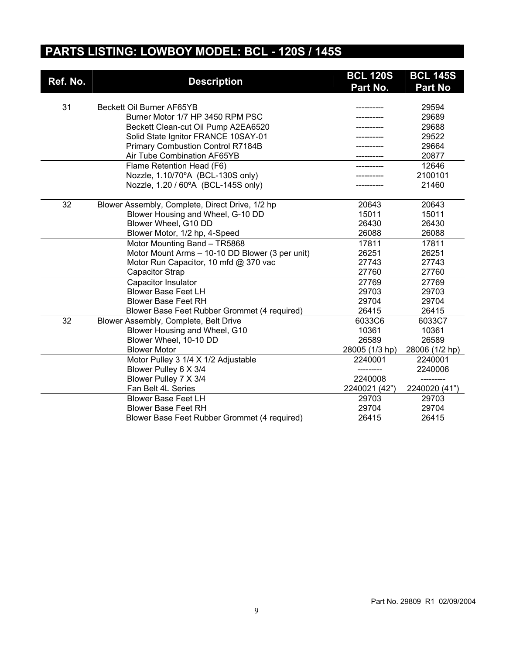## **PARTS LISTING: LOWBOY MODEL: BCL - 120S / 145S**

|          |                                                 | <b>BCL 120S</b> | <b>BCL 145S</b> |
|----------|-------------------------------------------------|-----------------|-----------------|
| Ref. No. | <b>Description</b>                              | Part No.        | <b>Part No</b>  |
|          |                                                 |                 |                 |
| 31       | Beckett Oil Burner AF65YB                       |                 | 29594           |
|          | Burner Motor 1/7 HP 3450 RPM PSC                |                 | 29689           |
|          | Beckett Clean-cut Oil Pump A2EA6520             |                 | 29688           |
|          | Solid State Ignitor FRANCE 10SAY-01             |                 | 29522           |
|          | <b>Primary Combustion Control R7184B</b>        |                 | 29664           |
|          | Air Tube Combination AF65YB                     |                 | 20877           |
|          | Flame Retention Head (F6)                       |                 | 12646           |
|          | Nozzle, 1.10/70°A (BCL-130S only)               |                 | 2100101         |
|          | Nozzle, 1.20 / 60°A (BCL-145S only)             |                 | 21460           |
| 32       | Blower Assembly, Complete, Direct Drive, 1/2 hp | 20643           | 20643           |
|          | Blower Housing and Wheel, G-10 DD               | 15011           | 15011           |
|          | Blower Wheel, G10 DD                            | 26430           | 26430           |
|          | Blower Motor, 1/2 hp, 4-Speed                   | 26088           | 26088           |
|          | Motor Mounting Band - TR5868                    | 17811           | 17811           |
|          | Motor Mount Arms - 10-10 DD Blower (3 per unit) | 26251           | 26251           |
|          | Motor Run Capacitor, 10 mfd @ 370 vac           | 27743           | 27743           |
|          | <b>Capacitor Strap</b>                          | 27760           | 27760           |
|          | <b>Capacitor Insulator</b>                      | 27769           | 27769           |
|          | <b>Blower Base Feet LH</b>                      | 29703           | 29703           |
|          | <b>Blower Base Feet RH</b>                      | 29704           | 29704           |
|          | Blower Base Feet Rubber Grommet (4 required)    | 26415           | 26415           |
| 32       | Blower Assembly, Complete, Belt Drive           | 6033C6          | 6033C7          |
|          | Blower Housing and Wheel, G10                   | 10361           | 10361           |
|          | Blower Wheel, 10-10 DD                          | 26589           | 26589           |
|          | <b>Blower Motor</b>                             | 28005 (1/3 hp)  | 28006 (1/2 hp)  |
|          | Motor Pulley 3 1/4 X 1/2 Adjustable             | 2240001         | 2240001         |
|          | Blower Pulley 6 X 3/4                           |                 | 2240006         |
|          | Blower Pulley 7 X 3/4                           | 2240008         |                 |
|          | Fan Belt 4L Series                              | 2240021 (42")   | 2240020 (41")   |
|          | <b>Blower Base Feet LH</b>                      | 29703           | 29703           |
|          | <b>Blower Base Feet RH</b>                      | 29704           | 29704           |
|          | Blower Base Feet Rubber Grommet (4 required)    | 26415           | 26415           |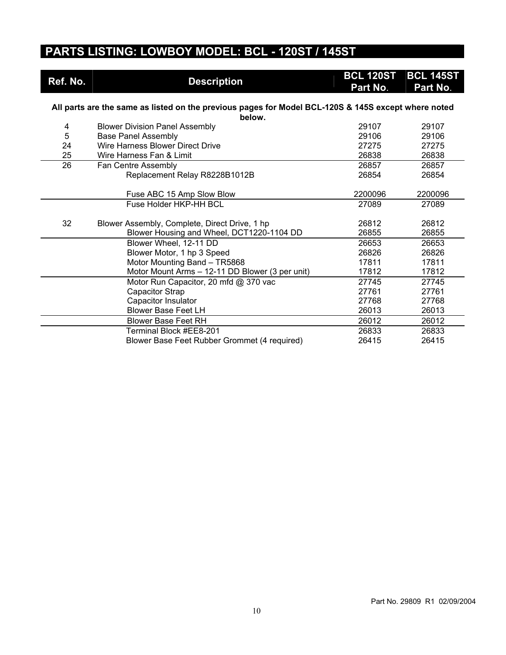## **PARTS LISTING: LOWBOY MODEL: BCL - 120ST / 145ST**

| Ref. No. | <b>Description</b>                                                                                  | <b>BCL 120ST</b><br>Part No. | <b>BCL 145ST</b><br>Part No. |
|----------|-----------------------------------------------------------------------------------------------------|------------------------------|------------------------------|
|          |                                                                                                     |                              |                              |
|          | All parts are the same as listed on the previous pages for Model BCL-120S & 145S except where noted |                              |                              |
|          | below.                                                                                              |                              |                              |
| 4        | <b>Blower Division Panel Assembly</b>                                                               | 29107                        | 29107                        |
| 5        | <b>Base Panel Assembly</b>                                                                          | 29106                        | 29106                        |
| 24       | Wire Harness Blower Direct Drive                                                                    | 27275                        | 27275                        |
| 25       | Wire Harness Fan & Limit                                                                            | 26838                        | 26838                        |
| 26       | Fan Centre Assembly                                                                                 | 26857                        | 26857                        |
|          | Replacement Relay R8228B1012B                                                                       | 26854                        | 26854                        |
|          |                                                                                                     |                              |                              |
|          | Fuse ABC 15 Amp Slow Blow                                                                           | 2200096                      | 2200096                      |
|          | Fuse Holder HKP-HH BCL                                                                              | 27089                        | 27089                        |
|          |                                                                                                     |                              |                              |
| 32       | Blower Assembly, Complete, Direct Drive, 1 hp                                                       | 26812                        | 26812                        |
|          | Blower Housing and Wheel, DCT1220-1104 DD                                                           | 26855                        | 26855                        |
|          | Blower Wheel, 12-11 DD                                                                              | 26653                        | 26653                        |
|          | Blower Motor, 1 hp 3 Speed                                                                          | 26826                        | 26826                        |
|          | Motor Mounting Band - TR5868                                                                        | 17811                        | 17811                        |
|          | Motor Mount Arms - 12-11 DD Blower (3 per unit)                                                     | 17812                        | 17812                        |
|          | Motor Run Capacitor, 20 mfd @ 370 vac                                                               | 27745                        | 27745                        |
|          | Capacitor Strap                                                                                     | 27761                        | 27761                        |
|          | Capacitor Insulator                                                                                 | 27768                        | 27768                        |
|          | <b>Blower Base Feet LH</b>                                                                          | 26013                        | 26013                        |
|          | <b>Blower Base Feet RH</b>                                                                          | 26012                        | 26012                        |
|          | Terminal Block #EE8-201                                                                             | 26833                        | 26833                        |
|          | Blower Base Feet Rubber Grommet (4 required)                                                        | 26415                        | 26415                        |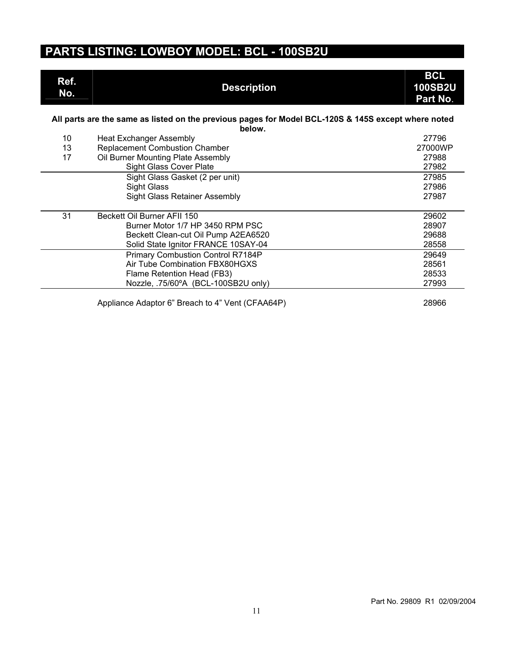## **PARTS LISTING: LOWBOY MODEL: BCL - 100SB2U**

| Ref.<br>No.     | <b>Description</b>                                                                                            | <b>BCL</b><br><b>100SB2U</b><br>Part No. |
|-----------------|---------------------------------------------------------------------------------------------------------------|------------------------------------------|
|                 | All parts are the same as listed on the previous pages for Model BCL-120S & 145S except where noted<br>below. |                                          |
| 10 <sup>°</sup> | <b>Heat Exchanger Assembly</b>                                                                                | 27796                                    |
| 13              | <b>Replacement Combustion Chamber</b>                                                                         | 27000WP                                  |
| 17              | Oil Burner Mounting Plate Assembly                                                                            | 27988                                    |
|                 | Sight Glass Cover Plate                                                                                       | 27982                                    |
|                 | Sight Glass Gasket (2 per unit)                                                                               | 27985                                    |
|                 | <b>Sight Glass</b>                                                                                            | 27986                                    |
|                 | <b>Sight Glass Retainer Assembly</b>                                                                          | 27987                                    |
| 31              | Beckett Oil Burner AFII 150                                                                                   | 29602                                    |
|                 | Burner Motor 1/7 HP 3450 RPM PSC                                                                              | 28907                                    |
|                 | Beckett Clean-cut Oil Pump A2EA6520                                                                           | 29688                                    |
|                 | Solid State Ignitor FRANCE 10SAY-04                                                                           | 28558                                    |
|                 | Primary Combustion Control R7184P                                                                             | 29649                                    |
|                 | Air Tube Combination FBX80HGXS                                                                                | 28561                                    |
|                 | Flame Retention Head (FB3)                                                                                    | 28533                                    |
|                 | Nozzle, .75/60°A (BCL-100SB2U only)                                                                           | 27993                                    |
|                 |                                                                                                               |                                          |
|                 | Appliance Adaptor 6" Breach to 4" Vent (CFAA64P)                                                              | 28966                                    |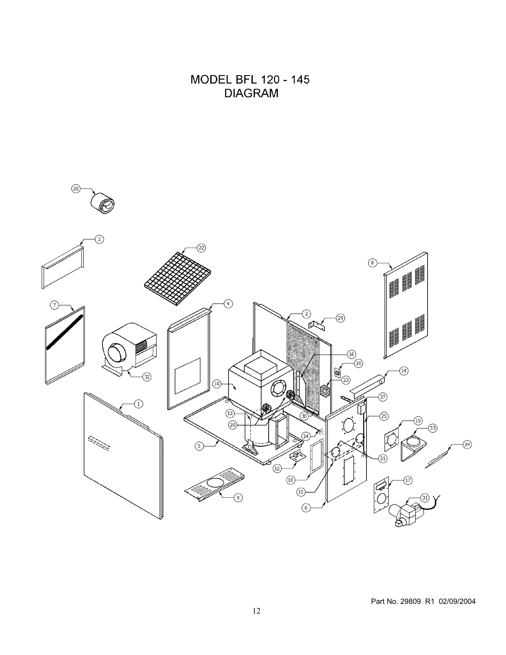**MODEL BFL 120 - 145 DIAGRAM** 

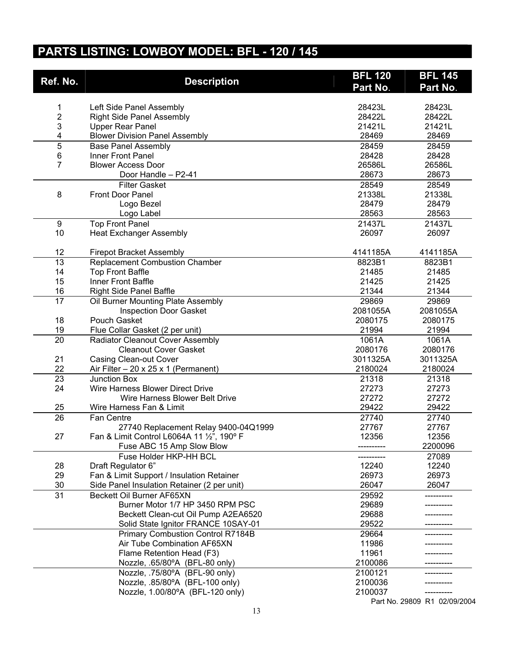## **PARTS LISTING: LOWBOY MODEL: BFL - 120 / 145**

|                         | <b>BFL 120</b>                                  | <b>BFL 145</b> |                            |
|-------------------------|-------------------------------------------------|----------------|----------------------------|
| Ref. No.                | <b>Description</b>                              | Part No.       | Part No.                   |
|                         |                                                 |                |                            |
| 1                       | Left Side Panel Assembly                        | 28423L         | 28423L                     |
| $\overline{\mathbf{c}}$ | <b>Right Side Panel Assembly</b>                | 28422L         | 28422L                     |
| 3                       | <b>Upper Rear Panel</b>                         | 21421L         | 21421L                     |
| 4                       | <b>Blower Division Panel Assembly</b>           | 28469          | 28469                      |
| 5                       | <b>Base Panel Assembly</b>                      | 28459          | 28459                      |
| 6                       | Inner Front Panel                               | 28428          | 28428                      |
| $\overline{7}$          | <b>Blower Access Door</b>                       | 26586L         | 26586L                     |
|                         | Door Handle - P2-41                             | 28673          | 28673                      |
|                         | <b>Filter Gasket</b>                            | 28549          | 28549                      |
| 8                       | Front Door Panel                                | 21338L         | 21338L                     |
|                         | Logo Bezel                                      | 28479          | 28479                      |
|                         | Logo Label                                      | 28563          | 28563                      |
| 9                       | <b>Top Front Panel</b>                          | 21437L         | 21437L                     |
| 10                      | <b>Heat Exchanger Assembly</b>                  | 26097          | 26097                      |
|                         |                                                 |                |                            |
| 12                      | <b>Firepot Bracket Assembly</b>                 | 4141185A       | 4141185A                   |
| $\overline{13}$         | <b>Replacement Combustion Chamber</b>           | 8823B1         | 8823B1                     |
| 14                      | <b>Top Front Baffle</b>                         | 21485          | 21485                      |
| 15                      | Inner Front Baffle                              | 21425          | 21425                      |
| 16                      | <b>Right Side Panel Baffle</b>                  | 21344          | 21344                      |
| 17                      | Oil Burner Mounting Plate Assembly              | 29869          | 29869                      |
|                         | <b>Inspection Door Gasket</b>                   | 2081055A       | 2081055A                   |
| 18                      | Pouch Gasket                                    | 2080175        | 2080175                    |
| 19                      | Flue Collar Gasket (2 per unit)                 | 21994          | 21994                      |
| 20                      | <b>Radiator Cleanout Cover Assembly</b>         | 1061A          | 1061A                      |
|                         | <b>Cleanout Cover Gasket</b>                    | 2080176        | 2080176                    |
| 21                      | <b>Casing Clean-out Cover</b>                   | 3011325A       | 3011325A                   |
| 22                      | Air Filter $-20 \times 25 \times 1$ (Permanent) | 2180024        | 2180024                    |
| 23                      | Junction Box                                    | 21318          | 21318                      |
| 24                      | Wire Harness Blower Direct Drive                | 27273          | 27273                      |
|                         | Wire Harness Blower Belt Drive                  | 27272          | 27272                      |
| 25                      | Wire Harness Fan & Limit                        | 29422          | 29422                      |
| $\overline{26}$         | Fan Centre                                      | 27740          | 27740                      |
|                         | 27740 Replacement Relay 9400-04Q1999            | 27767          | 27767                      |
| 27                      | Fan & Limit Control L6064A 11 1/2", 190° F      | 12356          | 12356                      |
|                         | Fuse ABC 15 Amp Slow Blow                       |                | 2200096                    |
|                         | Fuse Holder HKP-HH BCL                          |                | 27089                      |
| 28                      | Draft Regulator 6"                              | 12240          | 12240                      |
| 29                      | Fan & Limit Support / Insulation Retainer       | 26973          | 26973                      |
| 30                      | Side Panel Insulation Retainer (2 per unit)     | 26047          | 26047                      |
|                         | Beckett Oil Burner AF65XN                       |                |                            |
| 31                      | Burner Motor 1/7 HP 3450 RPM PSC                | 29592          |                            |
|                         |                                                 | 29689          |                            |
|                         | Beckett Clean-cut Oil Pump A2EA6520             | 29688          |                            |
|                         | Solid State Ignitor FRANCE 10SAY-01             | 29522          |                            |
|                         | <b>Primary Combustion Control R7184B</b>        | 29664          |                            |
|                         | Air Tube Combination AF65XN                     | 11986          |                            |
|                         | Flame Retention Head (F3)                       | 11961          |                            |
|                         | Nozzle, .65/80°A (BFL-80 only)                  | 2100086        |                            |
|                         | Nozzle, .75/80°A (BFL-90 only)                  | 2100121        |                            |
|                         | Nozzle, .85/80°A (BFL-100 only)                 | 2100036        |                            |
|                         | Nozzle, 1.00/80°A (BFL-120 only)                | 2100037        | Dest Ne 20000 D1 02/00/200 |
|                         |                                                 |                |                            |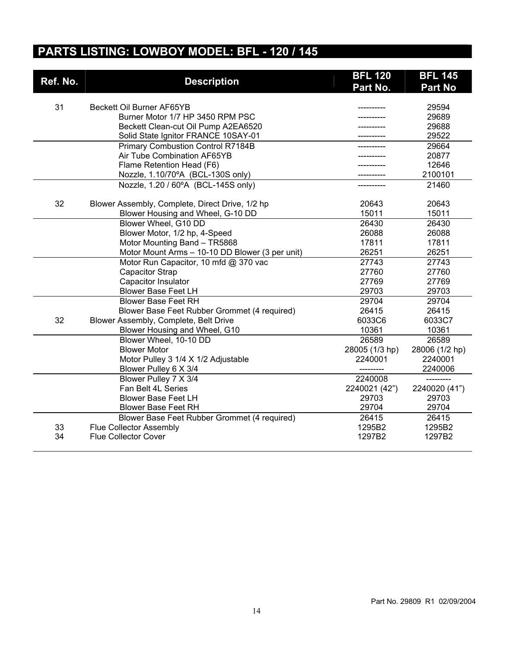## **PARTS LISTING: LOWBOY MODEL: BFL - 120 / 145**

| Ref. No. | <b>Description</b>                              | <b>BFL 120</b> | <b>BFL 145</b> |
|----------|-------------------------------------------------|----------------|----------------|
|          |                                                 | Part No.       | <b>Part No</b> |
|          |                                                 |                |                |
| 31       | Beckett Oil Burner AF65YB                       |                | 29594          |
|          | Burner Motor 1/7 HP 3450 RPM PSC                |                | 29689          |
|          | Beckett Clean-cut Oil Pump A2EA6520             |                | 29688          |
|          | Solid State Ignitor FRANCE 10SAY-01             |                | 29522          |
|          | <b>Primary Combustion Control R7184B</b>        |                | 29664          |
|          | Air Tube Combination AF65YB                     |                | 20877          |
|          | Flame Retention Head (F6)                       |                | 12646          |
|          | Nozzle, 1.10/70°A (BCL-130S only)               |                | 2100101        |
|          | Nozzle, 1.20 / 60°A (BCL-145S only)             |                | 21460          |
| 32       | Blower Assembly, Complete, Direct Drive, 1/2 hp | 20643          | 20643          |
|          | Blower Housing and Wheel, G-10 DD               | 15011          | 15011          |
|          | Blower Wheel, G10 DD                            | 26430          | 26430          |
|          | Blower Motor, 1/2 hp, 4-Speed                   | 26088          | 26088          |
|          | Motor Mounting Band - TR5868                    | 17811          | 17811          |
|          | Motor Mount Arms - 10-10 DD Blower (3 per unit) | 26251          | 26251          |
|          | Motor Run Capacitor, 10 mfd @ 370 vac           | 27743          | 27743          |
|          | <b>Capacitor Strap</b>                          | 27760          | 27760          |
|          | Capacitor Insulator                             | 27769          | 27769          |
|          | <b>Blower Base Feet LH</b>                      | 29703          | 29703          |
|          | <b>Blower Base Feet RH</b>                      | 29704          | 29704          |
|          | Blower Base Feet Rubber Grommet (4 required)    | 26415          | 26415          |
| 32       | Blower Assembly, Complete, Belt Drive           | 6033C6         | 6033C7         |
|          | Blower Housing and Wheel, G10                   | 10361          | 10361          |
|          | Blower Wheel, 10-10 DD                          | 26589          | 26589          |
|          | <b>Blower Motor</b>                             | 28005 (1/3 hp) | 28006 (1/2 hp) |
|          | Motor Pulley 3 1/4 X 1/2 Adjustable             | 2240001        | 2240001        |
|          | Blower Pulley 6 X 3/4                           |                | 2240006        |
|          | Blower Pulley 7 X 3/4                           | 2240008        |                |
|          | Fan Belt 4L Series                              | 2240021 (42")  | 2240020 (41")  |
|          | <b>Blower Base Feet LH</b>                      | 29703          | 29703          |
|          | <b>Blower Base Feet RH</b>                      | 29704          | 29704          |
|          | Blower Base Feet Rubber Grommet (4 required)    | 26415          | 26415          |
| 33       | <b>Flue Collector Assembly</b>                  | 1295B2         | 1295B2         |
| 34       | <b>Flue Collector Cover</b>                     | 1297B2         | 1297B2         |
|          |                                                 |                |                |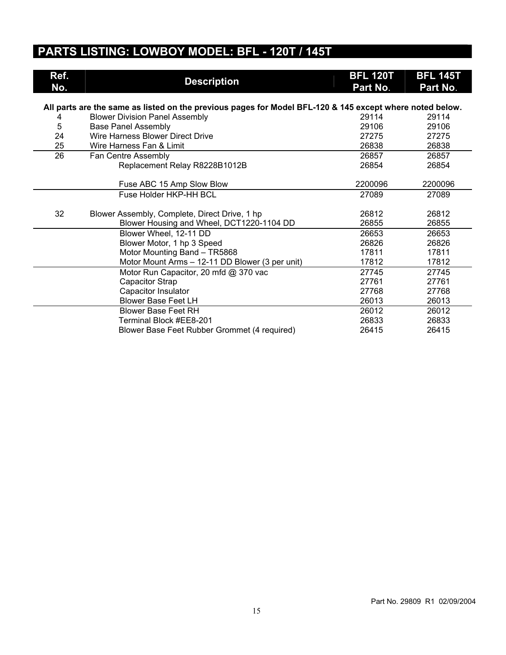## **PARTS LISTING: LOWBOY MODEL: BFL - 120T / 145T**

| Ref.<br>No. | <b>Description</b>                                                                                       | <b>BFL 120T</b><br>Part No. | <b>BFL 145T</b><br>Part No. |
|-------------|----------------------------------------------------------------------------------------------------------|-----------------------------|-----------------------------|
|             | All parts are the same as listed on the previous pages for Model BFL-120 & 145 except where noted below. |                             |                             |
| 4           | <b>Blower Division Panel Assembly</b>                                                                    | 29114                       | 29114                       |
| 5           | <b>Base Panel Assembly</b>                                                                               | 29106                       | 29106                       |
| 24          | Wire Harness Blower Direct Drive                                                                         | 27275                       | 27275                       |
| 25          | Wire Harness Fan & Limit                                                                                 | 26838                       | 26838                       |
| 26          | Fan Centre Assembly                                                                                      | 26857                       | 26857                       |
|             | Replacement Relay R8228B1012B                                                                            | 26854                       | 26854                       |
|             |                                                                                                          |                             |                             |
|             | Fuse ABC 15 Amp Slow Blow                                                                                | 2200096                     | 2200096                     |
|             | Fuse Holder HKP-HH BCL                                                                                   | 27089                       | 27089                       |
|             |                                                                                                          |                             |                             |
| 32          | Blower Assembly, Complete, Direct Drive, 1 hp                                                            | 26812                       | 26812                       |
|             | Blower Housing and Wheel, DCT1220-1104 DD                                                                | 26855                       | 26855                       |
|             | Blower Wheel, 12-11 DD                                                                                   | 26653                       | 26653                       |
|             | Blower Motor, 1 hp 3 Speed                                                                               | 26826                       | 26826                       |
|             | Motor Mounting Band - TR5868                                                                             | 17811                       | 17811                       |
|             | Motor Mount Arms - 12-11 DD Blower (3 per unit)                                                          | 17812                       | 17812                       |
|             | Motor Run Capacitor, 20 mfd @ 370 vac                                                                    | 27745                       | 27745                       |
|             | Capacitor Strap                                                                                          | 27761                       | 27761                       |
|             | Capacitor Insulator                                                                                      | 27768                       | 27768                       |
|             | <b>Blower Base Feet LH</b>                                                                               | 26013                       | 26013                       |
|             | <b>Blower Base Feet RH</b>                                                                               | 26012                       | 26012                       |
|             | Terminal Block #EE8-201                                                                                  | 26833                       | 26833                       |
|             | Blower Base Feet Rubber Grommet (4 required)                                                             | 26415                       | 26415                       |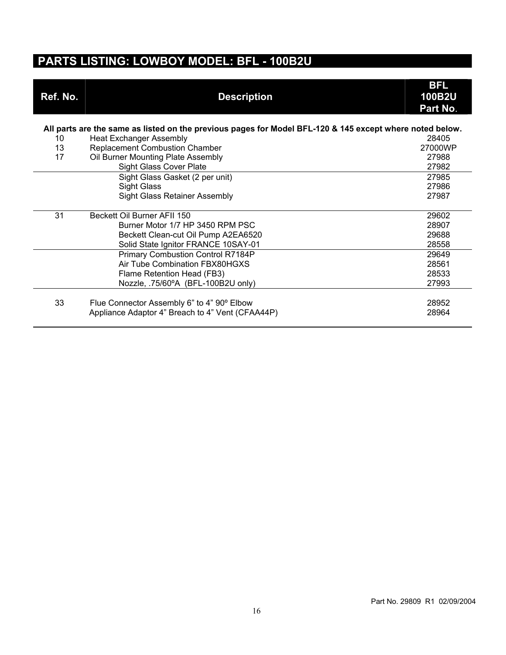#### **PARTS LISTING: LOWBOY MODEL: BFL - 100B2U**

| Ref. No. | <b>Description</b>                                                                                       | <b>BFL</b><br><b>100B2U</b><br>Part No. |
|----------|----------------------------------------------------------------------------------------------------------|-----------------------------------------|
|          | All parts are the same as listed on the previous pages for Model BFL-120 & 145 except where noted below. |                                         |
| 10       | <b>Heat Exchanger Assembly</b>                                                                           | 28405                                   |
| 13       | <b>Replacement Combustion Chamber</b>                                                                    | 27000WP                                 |
| 17       | Oil Burner Mounting Plate Assembly                                                                       | 27988                                   |
|          | <b>Sight Glass Cover Plate</b>                                                                           | 27982                                   |
|          | Sight Glass Gasket (2 per unit)                                                                          | 27985                                   |
|          | <b>Sight Glass</b>                                                                                       | 27986                                   |
|          | <b>Sight Glass Retainer Assembly</b>                                                                     | 27987                                   |
| 31       | Beckett Oil Burner AFII 150                                                                              | 29602                                   |
|          | Burner Motor 1/7 HP 3450 RPM PSC                                                                         | 28907                                   |
|          | Beckett Clean-cut Oil Pump A2EA6520                                                                      | 29688                                   |
|          | Solid State Ignitor FRANCE 10SAY-01                                                                      | 28558                                   |
|          | Primary Combustion Control R7184P                                                                        | 29649                                   |
|          | Air Tube Combination FBX80HGXS                                                                           | 28561                                   |
|          | Flame Retention Head (FB3)                                                                               | 28533                                   |
|          | Nozzle, .75/60°A (BFL-100B2U only)                                                                       | 27993                                   |
|          |                                                                                                          |                                         |
| 33       | Flue Connector Assembly 6" to 4" 90° Elbow                                                               | 28952                                   |
|          | Appliance Adaptor 4" Breach to 4" Vent (CFAA44P)                                                         | 28964                                   |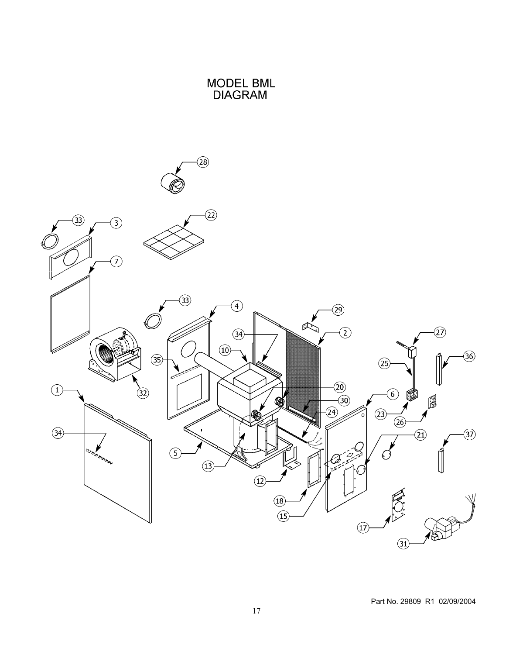

MODEL BML<br>DIAGRAM

Part No. 29809 R1 02/09/2004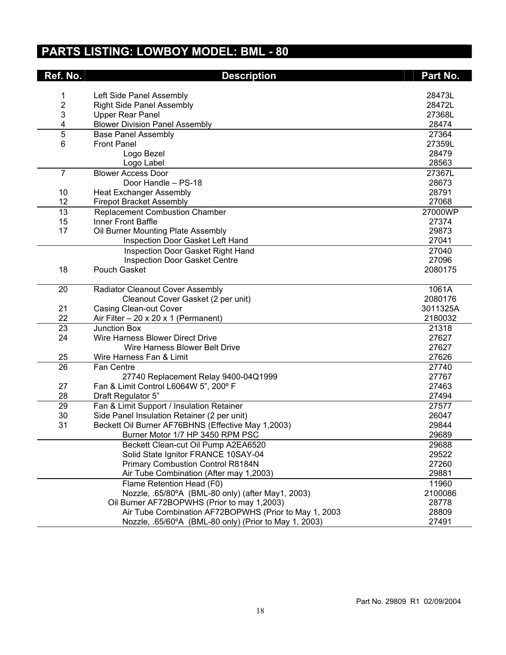## **PARTS LISTING: LOWBOY MODEL: BML - 80**

| Left Side Panel Assembly<br>28473L<br>1<br>2<br>28472L<br><b>Right Side Panel Assembly</b><br>3<br><b>Upper Rear Panel</b><br>27368L<br>4<br><b>Blower Division Panel Assembly</b><br>28474<br>5<br>27364<br><b>Base Panel Assembly</b><br>6<br><b>Front Panel</b><br>27359L<br>28479<br>Logo Bezel<br>28563<br>Logo Label<br><b>Blower Access Door</b><br>27367L<br>$\overline{7}$<br>Door Handle - PS-18<br>28673<br>28791<br>10<br><b>Heat Exchanger Assembly</b><br>12<br>27068<br><b>Firepot Bracket Assembly</b><br>13<br><b>Replacement Combustion Chamber</b><br>27000WP<br>Inner Front Baffle<br>15<br>27374<br>17<br>Oil Burner Mounting Plate Assembly<br>29873<br>27041<br>Inspection Door Gasket Left Hand<br>27040<br>Inspection Door Gasket Right Hand<br>27096<br><b>Inspection Door Gasket Centre</b><br>18<br>Pouch Gasket<br>2080175<br>1061A<br>20<br>Radiator Cleanout Cover Assembly<br>2080176<br>Cleanout Cover Gasket (2 per unit)<br>21<br><b>Casing Clean-out Cover</b><br>3011325A<br>22<br>2180032<br>Air Filter $-20 \times 20 \times 1$ (Permanent)<br>23<br><b>Junction Box</b><br>21318<br>24<br>Wire Harness Blower Direct Drive<br>27627<br>27627<br>Wire Harness Blower Belt Drive<br>27626<br>25<br>Wire Harness Fan & Limit<br>26<br>27740<br>Fan Centre<br>27740 Replacement Relay 9400-04Q1999<br>27767<br>27<br>27463<br>Fan & Limit Control L6064W 5", 200° F<br>28<br>Draft Regulator 5"<br>27494<br>Fan & Limit Support / Insulation Retainer<br>29<br>27577<br>30<br>Side Panel Insulation Retainer (2 per unit)<br>26047<br>31<br>Beckett Oil Burner AF76BHNS (Effective May 1,2003)<br>29844 |
|---------------------------------------------------------------------------------------------------------------------------------------------------------------------------------------------------------------------------------------------------------------------------------------------------------------------------------------------------------------------------------------------------------------------------------------------------------------------------------------------------------------------------------------------------------------------------------------------------------------------------------------------------------------------------------------------------------------------------------------------------------------------------------------------------------------------------------------------------------------------------------------------------------------------------------------------------------------------------------------------------------------------------------------------------------------------------------------------------------------------------------------------------------------------------------------------------------------------------------------------------------------------------------------------------------------------------------------------------------------------------------------------------------------------------------------------------------------------------------------------------------------------------------------------------------------------------------------------------------------------------------------------|
|                                                                                                                                                                                                                                                                                                                                                                                                                                                                                                                                                                                                                                                                                                                                                                                                                                                                                                                                                                                                                                                                                                                                                                                                                                                                                                                                                                                                                                                                                                                                                                                                                                             |
|                                                                                                                                                                                                                                                                                                                                                                                                                                                                                                                                                                                                                                                                                                                                                                                                                                                                                                                                                                                                                                                                                                                                                                                                                                                                                                                                                                                                                                                                                                                                                                                                                                             |
|                                                                                                                                                                                                                                                                                                                                                                                                                                                                                                                                                                                                                                                                                                                                                                                                                                                                                                                                                                                                                                                                                                                                                                                                                                                                                                                                                                                                                                                                                                                                                                                                                                             |
|                                                                                                                                                                                                                                                                                                                                                                                                                                                                                                                                                                                                                                                                                                                                                                                                                                                                                                                                                                                                                                                                                                                                                                                                                                                                                                                                                                                                                                                                                                                                                                                                                                             |
|                                                                                                                                                                                                                                                                                                                                                                                                                                                                                                                                                                                                                                                                                                                                                                                                                                                                                                                                                                                                                                                                                                                                                                                                                                                                                                                                                                                                                                                                                                                                                                                                                                             |
|                                                                                                                                                                                                                                                                                                                                                                                                                                                                                                                                                                                                                                                                                                                                                                                                                                                                                                                                                                                                                                                                                                                                                                                                                                                                                                                                                                                                                                                                                                                                                                                                                                             |
|                                                                                                                                                                                                                                                                                                                                                                                                                                                                                                                                                                                                                                                                                                                                                                                                                                                                                                                                                                                                                                                                                                                                                                                                                                                                                                                                                                                                                                                                                                                                                                                                                                             |
|                                                                                                                                                                                                                                                                                                                                                                                                                                                                                                                                                                                                                                                                                                                                                                                                                                                                                                                                                                                                                                                                                                                                                                                                                                                                                                                                                                                                                                                                                                                                                                                                                                             |
|                                                                                                                                                                                                                                                                                                                                                                                                                                                                                                                                                                                                                                                                                                                                                                                                                                                                                                                                                                                                                                                                                                                                                                                                                                                                                                                                                                                                                                                                                                                                                                                                                                             |
|                                                                                                                                                                                                                                                                                                                                                                                                                                                                                                                                                                                                                                                                                                                                                                                                                                                                                                                                                                                                                                                                                                                                                                                                                                                                                                                                                                                                                                                                                                                                                                                                                                             |
|                                                                                                                                                                                                                                                                                                                                                                                                                                                                                                                                                                                                                                                                                                                                                                                                                                                                                                                                                                                                                                                                                                                                                                                                                                                                                                                                                                                                                                                                                                                                                                                                                                             |
|                                                                                                                                                                                                                                                                                                                                                                                                                                                                                                                                                                                                                                                                                                                                                                                                                                                                                                                                                                                                                                                                                                                                                                                                                                                                                                                                                                                                                                                                                                                                                                                                                                             |
|                                                                                                                                                                                                                                                                                                                                                                                                                                                                                                                                                                                                                                                                                                                                                                                                                                                                                                                                                                                                                                                                                                                                                                                                                                                                                                                                                                                                                                                                                                                                                                                                                                             |
|                                                                                                                                                                                                                                                                                                                                                                                                                                                                                                                                                                                                                                                                                                                                                                                                                                                                                                                                                                                                                                                                                                                                                                                                                                                                                                                                                                                                                                                                                                                                                                                                                                             |
|                                                                                                                                                                                                                                                                                                                                                                                                                                                                                                                                                                                                                                                                                                                                                                                                                                                                                                                                                                                                                                                                                                                                                                                                                                                                                                                                                                                                                                                                                                                                                                                                                                             |
|                                                                                                                                                                                                                                                                                                                                                                                                                                                                                                                                                                                                                                                                                                                                                                                                                                                                                                                                                                                                                                                                                                                                                                                                                                                                                                                                                                                                                                                                                                                                                                                                                                             |
|                                                                                                                                                                                                                                                                                                                                                                                                                                                                                                                                                                                                                                                                                                                                                                                                                                                                                                                                                                                                                                                                                                                                                                                                                                                                                                                                                                                                                                                                                                                                                                                                                                             |
|                                                                                                                                                                                                                                                                                                                                                                                                                                                                                                                                                                                                                                                                                                                                                                                                                                                                                                                                                                                                                                                                                                                                                                                                                                                                                                                                                                                                                                                                                                                                                                                                                                             |
|                                                                                                                                                                                                                                                                                                                                                                                                                                                                                                                                                                                                                                                                                                                                                                                                                                                                                                                                                                                                                                                                                                                                                                                                                                                                                                                                                                                                                                                                                                                                                                                                                                             |
|                                                                                                                                                                                                                                                                                                                                                                                                                                                                                                                                                                                                                                                                                                                                                                                                                                                                                                                                                                                                                                                                                                                                                                                                                                                                                                                                                                                                                                                                                                                                                                                                                                             |
|                                                                                                                                                                                                                                                                                                                                                                                                                                                                                                                                                                                                                                                                                                                                                                                                                                                                                                                                                                                                                                                                                                                                                                                                                                                                                                                                                                                                                                                                                                                                                                                                                                             |
|                                                                                                                                                                                                                                                                                                                                                                                                                                                                                                                                                                                                                                                                                                                                                                                                                                                                                                                                                                                                                                                                                                                                                                                                                                                                                                                                                                                                                                                                                                                                                                                                                                             |
|                                                                                                                                                                                                                                                                                                                                                                                                                                                                                                                                                                                                                                                                                                                                                                                                                                                                                                                                                                                                                                                                                                                                                                                                                                                                                                                                                                                                                                                                                                                                                                                                                                             |
|                                                                                                                                                                                                                                                                                                                                                                                                                                                                                                                                                                                                                                                                                                                                                                                                                                                                                                                                                                                                                                                                                                                                                                                                                                                                                                                                                                                                                                                                                                                                                                                                                                             |
|                                                                                                                                                                                                                                                                                                                                                                                                                                                                                                                                                                                                                                                                                                                                                                                                                                                                                                                                                                                                                                                                                                                                                                                                                                                                                                                                                                                                                                                                                                                                                                                                                                             |
|                                                                                                                                                                                                                                                                                                                                                                                                                                                                                                                                                                                                                                                                                                                                                                                                                                                                                                                                                                                                                                                                                                                                                                                                                                                                                                                                                                                                                                                                                                                                                                                                                                             |
|                                                                                                                                                                                                                                                                                                                                                                                                                                                                                                                                                                                                                                                                                                                                                                                                                                                                                                                                                                                                                                                                                                                                                                                                                                                                                                                                                                                                                                                                                                                                                                                                                                             |
|                                                                                                                                                                                                                                                                                                                                                                                                                                                                                                                                                                                                                                                                                                                                                                                                                                                                                                                                                                                                                                                                                                                                                                                                                                                                                                                                                                                                                                                                                                                                                                                                                                             |
|                                                                                                                                                                                                                                                                                                                                                                                                                                                                                                                                                                                                                                                                                                                                                                                                                                                                                                                                                                                                                                                                                                                                                                                                                                                                                                                                                                                                                                                                                                                                                                                                                                             |
|                                                                                                                                                                                                                                                                                                                                                                                                                                                                                                                                                                                                                                                                                                                                                                                                                                                                                                                                                                                                                                                                                                                                                                                                                                                                                                                                                                                                                                                                                                                                                                                                                                             |
|                                                                                                                                                                                                                                                                                                                                                                                                                                                                                                                                                                                                                                                                                                                                                                                                                                                                                                                                                                                                                                                                                                                                                                                                                                                                                                                                                                                                                                                                                                                                                                                                                                             |
|                                                                                                                                                                                                                                                                                                                                                                                                                                                                                                                                                                                                                                                                                                                                                                                                                                                                                                                                                                                                                                                                                                                                                                                                                                                                                                                                                                                                                                                                                                                                                                                                                                             |
|                                                                                                                                                                                                                                                                                                                                                                                                                                                                                                                                                                                                                                                                                                                                                                                                                                                                                                                                                                                                                                                                                                                                                                                                                                                                                                                                                                                                                                                                                                                                                                                                                                             |
|                                                                                                                                                                                                                                                                                                                                                                                                                                                                                                                                                                                                                                                                                                                                                                                                                                                                                                                                                                                                                                                                                                                                                                                                                                                                                                                                                                                                                                                                                                                                                                                                                                             |
|                                                                                                                                                                                                                                                                                                                                                                                                                                                                                                                                                                                                                                                                                                                                                                                                                                                                                                                                                                                                                                                                                                                                                                                                                                                                                                                                                                                                                                                                                                                                                                                                                                             |
|                                                                                                                                                                                                                                                                                                                                                                                                                                                                                                                                                                                                                                                                                                                                                                                                                                                                                                                                                                                                                                                                                                                                                                                                                                                                                                                                                                                                                                                                                                                                                                                                                                             |
| 29689<br>Burner Motor 1/7 HP 3450 RPM PSC                                                                                                                                                                                                                                                                                                                                                                                                                                                                                                                                                                                                                                                                                                                                                                                                                                                                                                                                                                                                                                                                                                                                                                                                                                                                                                                                                                                                                                                                                                                                                                                                   |
| Beckett Clean-cut Oil Pump A2EA6520<br>29688                                                                                                                                                                                                                                                                                                                                                                                                                                                                                                                                                                                                                                                                                                                                                                                                                                                                                                                                                                                                                                                                                                                                                                                                                                                                                                                                                                                                                                                                                                                                                                                                |
| Solid State Ignitor FRANCE 10SAY-04<br>29522                                                                                                                                                                                                                                                                                                                                                                                                                                                                                                                                                                                                                                                                                                                                                                                                                                                                                                                                                                                                                                                                                                                                                                                                                                                                                                                                                                                                                                                                                                                                                                                                |
| 27260<br>Primary Combustion Control R8184N                                                                                                                                                                                                                                                                                                                                                                                                                                                                                                                                                                                                                                                                                                                                                                                                                                                                                                                                                                                                                                                                                                                                                                                                                                                                                                                                                                                                                                                                                                                                                                                                  |
| 29881<br>Air Tube Combination (After may 1,2003)                                                                                                                                                                                                                                                                                                                                                                                                                                                                                                                                                                                                                                                                                                                                                                                                                                                                                                                                                                                                                                                                                                                                                                                                                                                                                                                                                                                                                                                                                                                                                                                            |
| Flame Retention Head (F0)<br>11960                                                                                                                                                                                                                                                                                                                                                                                                                                                                                                                                                                                                                                                                                                                                                                                                                                                                                                                                                                                                                                                                                                                                                                                                                                                                                                                                                                                                                                                                                                                                                                                                          |
| Nozzle, .65/80°A (BML-80 only) (after May1, 2003)<br>2100086                                                                                                                                                                                                                                                                                                                                                                                                                                                                                                                                                                                                                                                                                                                                                                                                                                                                                                                                                                                                                                                                                                                                                                                                                                                                                                                                                                                                                                                                                                                                                                                |
| Oil Burner AF72BOPWHS (Prior to may 1,2003)<br>28778                                                                                                                                                                                                                                                                                                                                                                                                                                                                                                                                                                                                                                                                                                                                                                                                                                                                                                                                                                                                                                                                                                                                                                                                                                                                                                                                                                                                                                                                                                                                                                                        |
| Air Tube Combination AF72BOPWHS (Prior to May 1, 2003<br>28809                                                                                                                                                                                                                                                                                                                                                                                                                                                                                                                                                                                                                                                                                                                                                                                                                                                                                                                                                                                                                                                                                                                                                                                                                                                                                                                                                                                                                                                                                                                                                                              |
| Nozzle, .65/60°A (BML-80 only) (Prior to May 1, 2003)<br>27491                                                                                                                                                                                                                                                                                                                                                                                                                                                                                                                                                                                                                                                                                                                                                                                                                                                                                                                                                                                                                                                                                                                                                                                                                                                                                                                                                                                                                                                                                                                                                                              |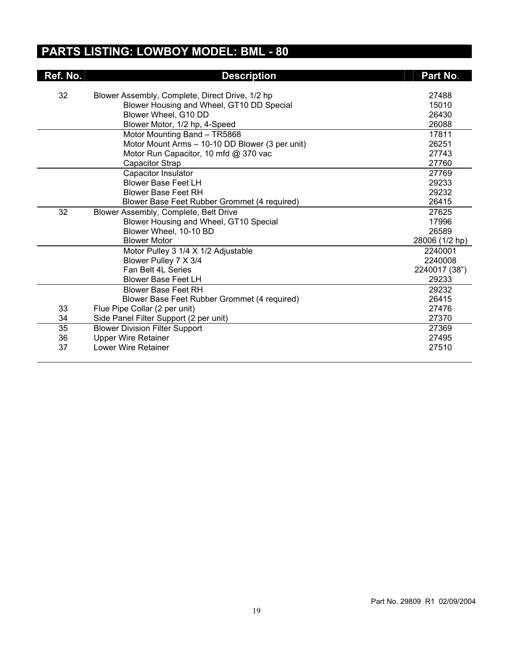## **PARTS LISTING: LOWBOY MODEL: BML - 80**

| Ref. No. | <b>Description</b>                              | Part No.       |
|----------|-------------------------------------------------|----------------|
| 32       | Blower Assembly, Complete, Direct Drive, 1/2 hp | 27488          |
|          | Blower Housing and Wheel, GT10 DD Special       | 15010          |
|          | Blower Wheel, G10 DD                            | 26430          |
|          | Blower Motor, 1/2 hp, 4-Speed                   | 26088          |
|          | Motor Mounting Band - TR5868                    | 17811          |
|          | Motor Mount Arms - 10-10 DD Blower (3 per unit) | 26251          |
|          | Motor Run Capacitor, 10 mfd @ 370 vac           | 27743          |
|          | Capacitor Strap                                 | 27760          |
|          | Capacitor Insulator                             | 27769          |
|          | <b>Blower Base Feet LH</b>                      | 29233          |
|          | <b>Blower Base Feet RH</b>                      | 29232          |
|          | Blower Base Feet Rubber Grommet (4 required)    | 26415          |
| 32       | Blower Assembly, Complete, Belt Drive           | 27625          |
|          | Blower Housing and Wheel, GT10 Special          | 17996          |
|          | Blower Wheel, 10-10 BD                          | 26589          |
|          | <b>Blower Motor</b>                             | 28006 (1/2 hp) |
|          | Motor Pulley 3 1/4 X 1/2 Adjustable             | 2240001        |
|          | Blower Pulley 7 X 3/4                           | 2240008        |
|          | Fan Belt 4L Series                              | 2240017 (38")  |
|          | Blower Base Feet LH                             | 29233          |
|          | <b>Blower Base Feet RH</b>                      | 29232          |
|          | Blower Base Feet Rubber Grommet (4 required)    | 26415          |
| 33       | Flue Pipe Collar (2 per unit)                   | 27476          |
| 34       | Side Panel Filter Support (2 per unit)          | 27370          |
| 35       | <b>Blower Division Filter Support</b>           | 27369          |
| 36       | <b>Upper Wire Retainer</b>                      | 27495          |
| 37       | <b>Lower Wire Retainer</b>                      | 27510          |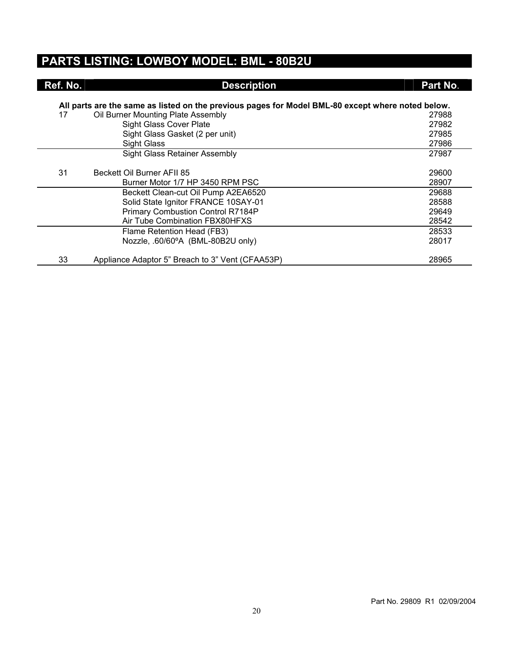#### **PARTS LISTING: LOWBOY MODEL: BML - 80B2U**

| Ref. No. | <b>Description</b>                                                                                | Part No. |
|----------|---------------------------------------------------------------------------------------------------|----------|
|          |                                                                                                   |          |
|          | All parts are the same as listed on the previous pages for Model BML-80 except where noted below. |          |
| 17       | Oil Burner Mounting Plate Assembly                                                                | 27988    |
|          | <b>Sight Glass Cover Plate</b>                                                                    | 27982    |
|          | Sight Glass Gasket (2 per unit)                                                                   | 27985    |
|          | <b>Sight Glass</b>                                                                                | 27986    |
|          | Sight Glass Retainer Assembly                                                                     | 27987    |
|          |                                                                                                   |          |
| 31       | Beckett Oil Burner AFII 85                                                                        | 29600    |
|          | Burner Motor 1/7 HP 3450 RPM PSC                                                                  | 28907    |
|          | Beckett Clean-cut Oil Pump A2EA6520                                                               | 29688    |
|          | Solid State Ignitor FRANCE 10SAY-01                                                               | 28588    |
|          | Primary Combustion Control R7184P                                                                 | 29649    |
|          | <b>Air Tube Combination FBX80HFXS</b>                                                             | 28542    |
|          | Flame Retention Head (FB3)                                                                        | 28533    |
|          | Nozzle, .60/60°A (BML-80B2U only)                                                                 | 28017    |
| 33       | Appliance Adaptor 5" Breach to 3" Vent (CFAA53P)                                                  | 28965    |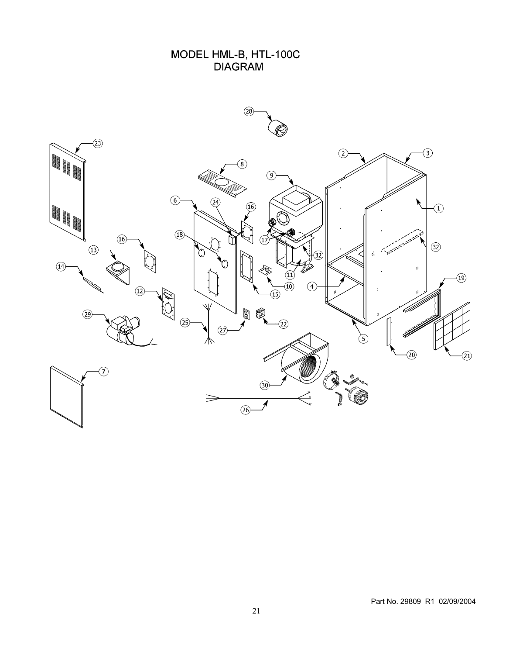## MODEL HML-B, HTL-100C<br>DIAGRAM

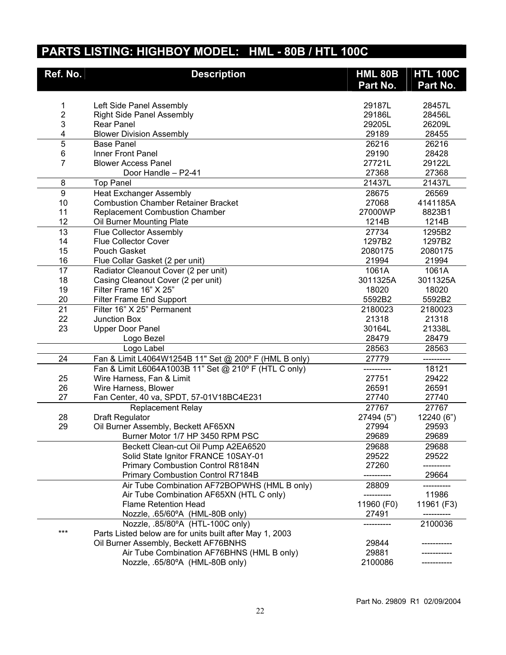## **PARTS LISTING: HIGHBOY MODEL: HML - 80B / HTL 100C**

| Ref. No.       | <b>Description</b>                                       | <b>HML 80B</b> | <b>HTL 100C</b> |
|----------------|----------------------------------------------------------|----------------|-----------------|
|                |                                                          | Part No.       | Part No.        |
|                |                                                          |                |                 |
| 1              | Left Side Panel Assembly                                 | 29187L         | 28457L          |
| $\overline{c}$ | <b>Right Side Panel Assembly</b>                         | 29186L         | 28456L          |
| 3              | <b>Rear Panel</b>                                        | 29205L         | 26209L          |
| 4              | <b>Blower Division Assembly</b>                          | 29189          | 28455           |
| $\overline{5}$ | <b>Base Panel</b>                                        | 26216          | 26216           |
| 6              | Inner Front Panel                                        | 29190          | 28428           |
| $\overline{7}$ | <b>Blower Access Panel</b>                               | 27721L         | 29122L          |
|                | Door Handle - P2-41                                      | 27368          | 27368           |
| 8              | <b>Top Panel</b>                                         | 21437L         | 21437L          |
| $\overline{9}$ | <b>Heat Exchanger Assembly</b>                           | 28675          | 26569           |
| 10             | <b>Combustion Chamber Retainer Bracket</b>               | 27068          | 4141185A        |
| 11             | <b>Replacement Combustion Chamber</b>                    | 27000WP        | 8823B1          |
| 12             | Oil Burner Mounting Plate                                | 1214B          | 1214B           |
| 13             | <b>Flue Collector Assembly</b>                           | 27734          | 1295B2          |
| 14             | <b>Flue Collector Cover</b>                              | 1297B2         | 1297B2          |
| 15             | Pouch Gasket                                             | 2080175        | 2080175         |
| 16             | Flue Collar Gasket (2 per unit)                          | 21994          | 21994           |
| 17             | Radiator Cleanout Cover (2 per unit)                     | 1061A          | 1061A           |
| 18             | Casing Cleanout Cover (2 per unit)                       | 3011325A       | 3011325A        |
| 19             | Filter Frame 16" X 25"                                   | 18020          | 18020           |
| 20             | <b>Filter Frame End Support</b>                          | 5592B2         | 5592B2          |
| 21             | Filter 16" X 25" Permanent                               | 2180023        | 2180023         |
| 22             | <b>Junction Box</b>                                      | 21318          | 21318           |
| 23             | <b>Upper Door Panel</b>                                  | 30164L         | 21338L          |
|                | Logo Bezel                                               | 28479          | 28479           |
|                | Logo Label                                               | 28563          | 28563           |
| 24             | Fan & Limit L4064W1254B 11" Set @ 200° F (HML B only)    | 27779          | ----------      |
|                | Fan & Limit L6064A1003B 11" Set @ 210° F (HTL C only)    |                | 18121           |
| 25             | Wire Harness, Fan & Limit                                | 27751          | 29422           |
| 26             | Wire Harness, Blower                                     | 26591          | 26591           |
| 27             | Fan Center, 40 va, SPDT, 57-01V18BC4E231                 | 27740          | 27740           |
|                | <b>Replacement Relay</b>                                 | 27767          | 27767           |
| 28             | <b>Draft Regulator</b>                                   | 27494 (5")     | 12240 (6")      |
| 29             | Oil Burner Assembly, Beckett AF65XN                      | 27994          | 29593           |
|                | Burner Motor 1/7 HP 3450 RPM PSC                         | 29689          | 29689           |
|                | Beckett Clean-cut Oil Pump A2EA6520                      | 29688          | 29688           |
|                | Solid State Ignitor FRANCE 10SAY-01                      | 29522          | 29522           |
|                | Primary Combustion Control R8184N                        | 27260          |                 |
|                | <b>Primary Combustion Control R7184B</b>                 |                | 29664           |
|                | Air Tube Combination AF72BOPWHS (HML B only)             | 28809          |                 |
|                | Air Tube Combination AF65XN (HTL C only)                 |                | 11986           |
|                | <b>Flame Retention Head</b>                              | 11960 (F0)     | 11961 (F3)      |
|                | Nozzle, .65/60°A (HML-80B only)                          | 27491          |                 |
|                | Nozzle, .85/80°A (HTL-100C only)                         |                | 2100036         |
| ***            | Parts Listed below are for units built after May 1, 2003 |                |                 |
|                | Oil Burner Assembly, Beckett AF76BNHS                    | 29844          |                 |
|                | Air Tube Combination AF76BHNS (HML B only)               | 29881          |                 |
|                | Nozzle, .65/80°A (HML-80B only)                          | 2100086        |                 |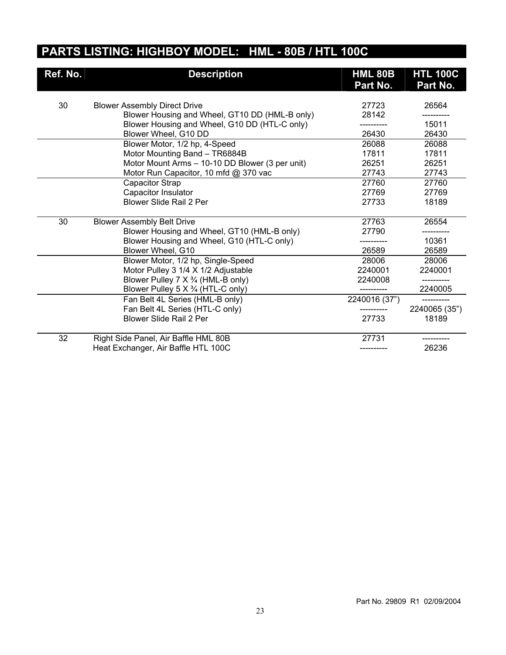## **PARTS LISTING: HIGHBOY MODEL: HML - 80B / HTL 100C**

| Ref. No. | <b>Description</b>                              | <b>HML 80B</b><br>Part No. | <b>HTL 100C</b><br>Part No. |
|----------|-------------------------------------------------|----------------------------|-----------------------------|
| 30       | <b>Blower Assembly Direct Drive</b>             | 27723                      | 26564                       |
|          | Blower Housing and Wheel, GT10 DD (HML-B only)  | 28142                      |                             |
|          | Blower Housing and Wheel, G10 DD (HTL-C only)   | --------                   | 15011                       |
|          | Blower Wheel, G10 DD                            | 26430                      | 26430                       |
|          | Blower Motor, 1/2 hp, 4-Speed                   | 26088                      | 26088                       |
|          | Motor Mounting Band - TR6884B                   | 17811                      | 17811                       |
|          | Motor Mount Arms - 10-10 DD Blower (3 per unit) | 26251                      | 26251                       |
|          | Motor Run Capacitor, 10 mfd @ 370 vac           | 27743                      | 27743                       |
|          | Capacitor Strap                                 | 27760                      | 27760                       |
|          | Capacitor Insulator                             | 27769                      | 27769                       |
|          | <b>Blower Slide Rail 2 Per</b>                  | 27733                      | 18189                       |
| 30       | <b>Blower Assembly Belt Drive</b>               | 27763                      | 26554                       |
|          | Blower Housing and Wheel, GT10 (HML-B only)     | 27790                      |                             |
|          | Blower Housing and Wheel, G10 (HTL-C only)      |                            | 10361                       |
|          | Blower Wheel, G10                               | 26589                      | 26589                       |
|          | Blower Motor, 1/2 hp, Single-Speed              | 28006                      | 28006                       |
|          | Motor Pulley 3 1/4 X 1/2 Adjustable             | 2240001                    | 2240001                     |
|          | Blower Pulley 7 X 3/4 (HML-B only)              | 2240008                    |                             |
|          | Blower Pulley 5 X 3/4 (HTL-C only)              |                            | 2240005                     |
|          | Fan Belt 4L Series (HML-B only)                 | 2240016 (37")              |                             |
|          | Fan Belt 4L Series (HTL-C only)                 |                            | 2240065 (35")               |
|          | Blower Slide Rail 2 Per                         | 27733                      | 18189                       |
| 32       | Right Side Panel, Air Baffle HML 80B            | 27731                      |                             |
|          | Heat Exchanger, Air Baffle HTL 100C             |                            | 26236                       |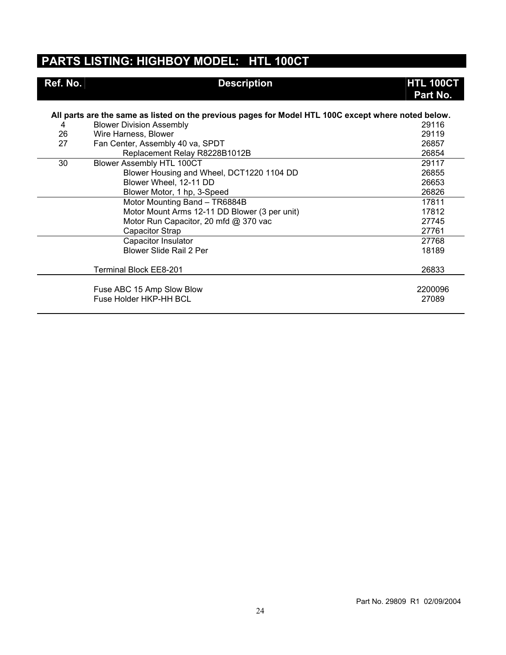#### **PARTS LISTING: HIGHBOY MODEL: HTL 100CT**

| Ref. No. | <b>Description</b>                                                                                  | <b>HTL 100CT</b><br>Part No. |
|----------|-----------------------------------------------------------------------------------------------------|------------------------------|
|          | All parts are the same as listed on the previous pages for Model HTL 100C except where noted below. |                              |
| 4        | <b>Blower Division Assembly</b>                                                                     | 29116                        |
| 26       | Wire Harness, Blower                                                                                | 29119                        |
| 27       | Fan Center, Assembly 40 va, SPDT                                                                    | 26857                        |
|          | Replacement Relay R8228B1012B                                                                       | 26854                        |
| 30       | Blower Assembly HTL 100CT                                                                           | 29117                        |
|          | Blower Housing and Wheel, DCT1220 1104 DD                                                           | 26855                        |
|          | Blower Wheel, 12-11 DD                                                                              | 26653                        |
|          | Blower Motor, 1 hp, 3-Speed                                                                         | 26826                        |
|          | Motor Mounting Band - TR6884B                                                                       | 17811                        |
|          | Motor Mount Arms 12-11 DD Blower (3 per unit)                                                       | 17812                        |
|          | Motor Run Capacitor, 20 mfd @ 370 vac                                                               | 27745                        |
|          | Capacitor Strap                                                                                     | 27761                        |
|          | Capacitor Insulator                                                                                 | 27768                        |
|          | <b>Blower Slide Rail 2 Per</b>                                                                      | 18189                        |
|          |                                                                                                     |                              |
|          | <b>Terminal Block EE8-201</b>                                                                       | 26833                        |
|          | Fuse ABC 15 Amp Slow Blow<br>Fuse Holder HKP-HH BCL                                                 | 2200096<br>27089             |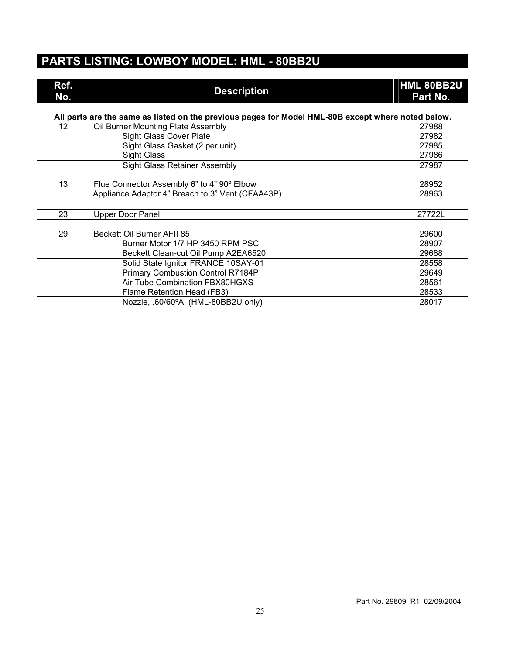#### **PARTS LISTING: LOWBOY MODEL: HML - 80BB2U**

| Ref.<br>No.                                                                                        | <b>Description</b>                               | HML 80BB2U<br>Part No. |  |
|----------------------------------------------------------------------------------------------------|--------------------------------------------------|------------------------|--|
| All parts are the same as listed on the previous pages for Model HML-80B except where noted below. |                                                  |                        |  |
| 12                                                                                                 | Oil Burner Mounting Plate Assembly               | 27988                  |  |
|                                                                                                    | <b>Sight Glass Cover Plate</b>                   | 27982                  |  |
|                                                                                                    | Sight Glass Gasket (2 per unit)                  | 27985                  |  |
|                                                                                                    | <b>Sight Glass</b>                               | 27986                  |  |
|                                                                                                    | Sight Glass Retainer Assembly                    | 27987                  |  |
| 13                                                                                                 | Flue Connector Assembly 6" to 4" 90° Elbow       | 28952                  |  |
|                                                                                                    | Appliance Adaptor 4" Breach to 3" Vent (CFAA43P) | 28963                  |  |
|                                                                                                    |                                                  |                        |  |
| 23                                                                                                 | <b>Upper Door Panel</b>                          | 27722L                 |  |
| 29                                                                                                 | Beckett Oil Burner AFII 85                       | 29600                  |  |
|                                                                                                    | Burner Motor 1/7 HP 3450 RPM PSC                 | 28907                  |  |
|                                                                                                    | Beckett Clean-cut Oil Pump A2EA6520              | 29688                  |  |
|                                                                                                    | Solid State Ignitor FRANCE 10SAY-01              | 28558                  |  |
|                                                                                                    | Primary Combustion Control R7184P                | 29649                  |  |
|                                                                                                    | Air Tube Combination FBX80HGXS                   | 28561                  |  |
|                                                                                                    | Flame Retention Head (FB3)                       | 28533                  |  |
|                                                                                                    | Nozzle, .60/60°A (HML-80BB2U only)               | 28017                  |  |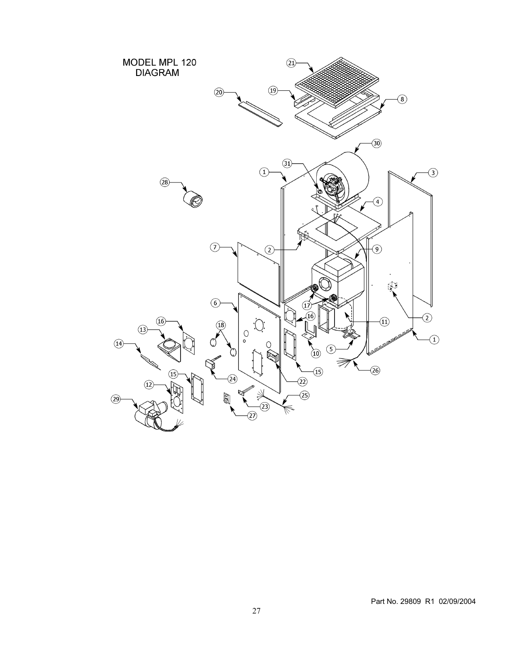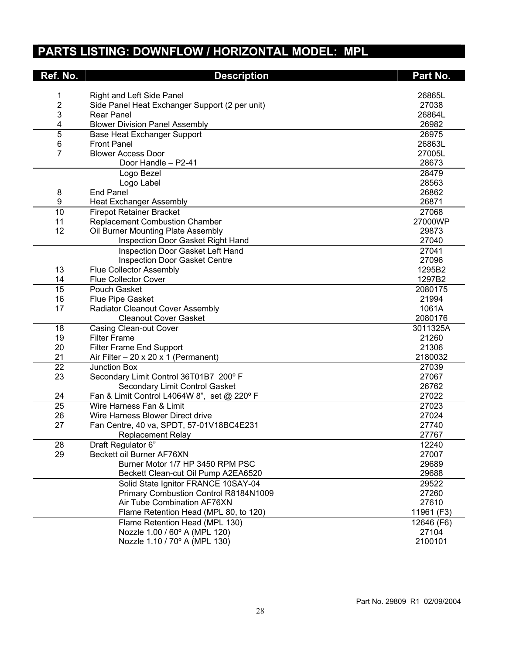## **PARTS LISTING: DOWNFLOW / HORIZONTAL MODEL: MPL**

| Ref. No. | <b>Description</b>                              | Part No.   |
|----------|-------------------------------------------------|------------|
| 1        | Right and Left Side Panel                       | 26865L     |
| 2        | Side Panel Heat Exchanger Support (2 per unit)  | 27038      |
| 3        | <b>Rear Panel</b>                               | 26864L     |
| 4        | <b>Blower Division Panel Assembly</b>           | 26982      |
| 5        | Base Heat Exchanger Support                     | 26975      |
| 6        | <b>Front Panel</b>                              | 26863L     |
| 7        | <b>Blower Access Door</b>                       | 27005L     |
|          | Door Handle - P2-41                             | 28673      |
|          | Logo Bezel                                      | 28479      |
|          | Logo Label                                      | 28563      |
| 8        | End Panel                                       | 26862      |
| 9        | <b>Heat Exchanger Assembly</b>                  | 26871      |
| 10       | <b>Firepot Retainer Bracket</b>                 | 27068      |
| 11       | <b>Replacement Combustion Chamber</b>           | 27000WP    |
| 12       | Oil Burner Mounting Plate Assembly              | 29873      |
|          | Inspection Door Gasket Right Hand               | 27040      |
|          | Inspection Door Gasket Left Hand                | 27041      |
|          | <b>Inspection Door Gasket Centre</b>            | 27096      |
| 13       | <b>Flue Collector Assembly</b>                  | 1295B2     |
| 14       | Flue Collector Cover                            | 1297B2     |
| 15       | Pouch Gasket                                    | 2080175    |
| 16       | Flue Pipe Gasket                                | 21994      |
| 17       | Radiator Cleanout Cover Assembly                | 1061A      |
|          | <b>Cleanout Cover Gasket</b>                    | 2080176    |
| 18       | Casing Clean-out Cover                          | 3011325A   |
| 19       | <b>Filter Frame</b>                             | 21260      |
| 20       | Filter Frame End Support                        | 21306      |
| 21       | Air Filter $-20 \times 20 \times 1$ (Permanent) | 2180032    |
| 22       | <b>Junction Box</b>                             | 27039      |
| 23       | Secondary Limit Control 36T01B7 200° F          | 27067      |
|          | Secondary Limit Control Gasket                  | 26762      |
| 24       | Fan & Limit Control L4064W 8", set @ 220° F     | 27022      |
| 25       | Wire Harness Fan & Limit                        | 27023      |
| 26       | Wire Harness Blower Direct drive                | 27024      |
| 27       | Fan Centre, 40 va, SPDT, 57-01V18BC4E231        | 27740      |
|          | <b>Replacement Relay</b>                        | 27767      |
| 28       | Draft Regulator 6"                              | 12240      |
| 29       | Beckett oil Burner AF76XN                       | 27007      |
|          | Burner Motor 1/7 HP 3450 RPM PSC                | 29689      |
|          | Beckett Clean-cut Oil Pump A2EA6520             | 29688      |
|          | Solid State Ignitor FRANCE 10SAY-04             | 29522      |
|          | Primary Combustion Control R8184N1009           | 27260      |
|          | Air Tube Combination AF76XN                     | 27610      |
|          | Flame Retention Head (MPL 80, to 120)           | 11961 (F3) |
|          | Flame Retention Head (MPL 130)                  | 12646 (F6) |
|          | Nozzle 1.00 / 60° A (MPL 120)                   | 27104      |
|          | Nozzle 1.10 / 70° A (MPL 130)                   | 2100101    |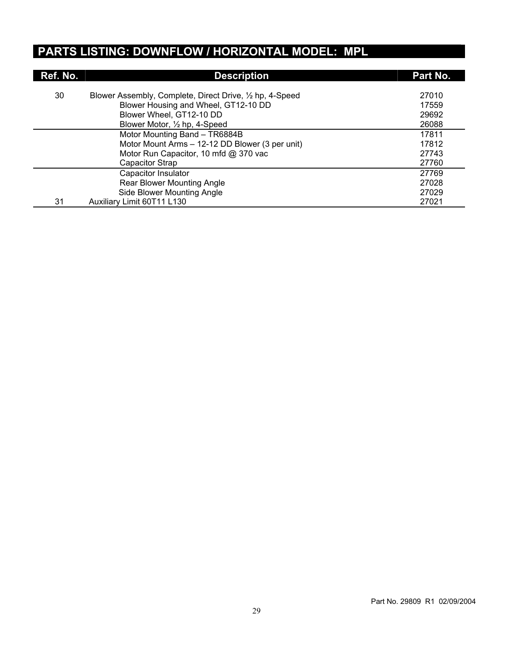## **PARTS LISTING: DOWNFLOW / HORIZONTAL MODEL: MPL**

| Ref. No. | <b>Description</b>                                       | Part No. |
|----------|----------------------------------------------------------|----------|
| 30       | Blower Assembly, Complete, Direct Drive, 1/2 hp, 4-Speed | 27010    |
|          | Blower Housing and Wheel, GT12-10 DD                     | 17559    |
|          | Blower Wheel, GT12-10 DD                                 | 29692    |
|          | Blower Motor, 1/2 hp, 4-Speed                            | 26088    |
|          | Motor Mounting Band - TR6884B                            | 17811    |
|          | Motor Mount Arms - 12-12 DD Blower (3 per unit)          | 17812    |
|          | Motor Run Capacitor, 10 mfd @ 370 vac                    | 27743    |
|          | Capacitor Strap                                          | 27760    |
|          | Capacitor Insulator                                      | 27769    |
|          | Rear Blower Mounting Angle                               | 27028    |
|          | Side Blower Mounting Angle                               | 27029    |
| 31       | Auxiliary Limit 60T11 L130                               | 27021    |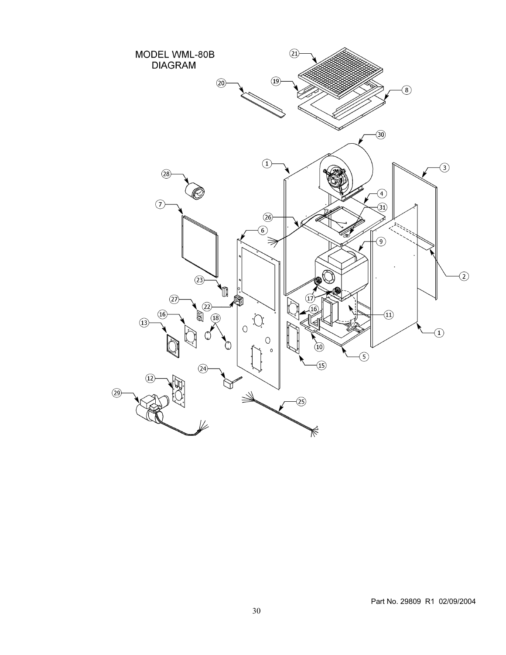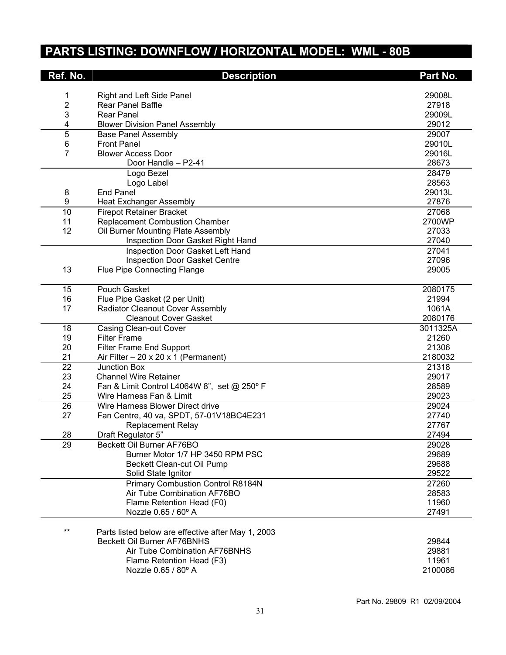## **PARTS LISTING: DOWNFLOW / HORIZONTAL MODEL: WML - 80B**

| Ref. No. | <b>Description</b>                                                  | Part No.        |
|----------|---------------------------------------------------------------------|-----------------|
|          |                                                                     |                 |
| 1        | Right and Left Side Panel                                           | 29008L          |
| 2        | Rear Panel Baffle                                                   | 27918           |
| 3        | Rear Panel                                                          | 29009L<br>29012 |
| 4<br>5   | <b>Blower Division Panel Assembly</b><br><b>Base Panel Assembly</b> | 29007           |
| $\,6$    | <b>Front Panel</b>                                                  | 29010L          |
| 7        | <b>Blower Access Door</b>                                           | 29016L          |
|          | Door Handle - P2-41                                                 | 28673           |
|          | Logo Bezel                                                          | 28479           |
|          | Logo Label                                                          | 28563           |
| 8        | <b>End Panel</b>                                                    | 29013L          |
| 9        | <b>Heat Exchanger Assembly</b>                                      | 27876           |
| 10       | <b>Firepot Retainer Bracket</b>                                     | 27068           |
| 11       | <b>Replacement Combustion Chamber</b>                               | 2700WP          |
| 12       | Oil Burner Mounting Plate Assembly                                  | 27033           |
|          | Inspection Door Gasket Right Hand                                   | 27040           |
|          | Inspection Door Gasket Left Hand                                    | 27041           |
|          | <b>Inspection Door Gasket Centre</b>                                | 27096           |
| 13       | <b>Flue Pipe Connecting Flange</b>                                  | 29005           |
|          |                                                                     |                 |
| 15       | Pouch Gasket                                                        | 2080175         |
| 16       | Flue Pipe Gasket (2 per Unit)                                       | 21994           |
| 17       | Radiator Cleanout Cover Assembly                                    | 1061A           |
|          | <b>Cleanout Cover Gasket</b>                                        | 2080176         |
| 18       | <b>Casing Clean-out Cover</b>                                       | 3011325A        |
| 19       | <b>Filter Frame</b>                                                 | 21260           |
| 20       | Filter Frame End Support                                            | 21306           |
| 21       | Air Filter $-20 \times 20 \times 1$ (Permanent)                     | 2180032         |
| 22       | Junction Box                                                        | 21318           |
| 23       | <b>Channel Wire Retainer</b>                                        | 29017           |
| 24       | Fan & Limit Control L4064W 8", set @ 250° F                         | 28589           |
| 25       | Wire Harness Fan & Limit                                            | 29023           |
| 26       | Wire Harness Blower Direct drive                                    | 29024           |
| 27       | Fan Centre, 40 va, SPDT, 57-01V18BC4E231                            | 27740           |
|          | <b>Replacement Relay</b>                                            | 27767           |
| 28       | Draft Regulator 5"                                                  | 27494           |
| 29       | Beckett Oil Burner AF76BO                                           | 29028           |
|          | Burner Motor 1/7 HP 3450 RPM PSC                                    | 29689           |
|          | Beckett Clean-cut Oil Pump                                          | 29688           |
|          | Solid State Ignitor                                                 | 29522           |
|          | Primary Combustion Control R8184N                                   | 27260           |
|          | Air Tube Combination AF76BO                                         | 28583           |
|          | Flame Retention Head (F0)                                           | 11960           |
|          | Nozzle 0.65 / 60° A                                                 | 27491           |
| $***$    | Parts listed below are effective after May 1, 2003                  |                 |
|          | Beckett Oil Burner AF76BNHS                                         | 29844           |
|          | Air Tube Combination AF76BNHS                                       | 29881           |
|          | Flame Retention Head (F3)                                           | 11961           |
|          | Nozzle 0.65 / 80° A                                                 | 2100086         |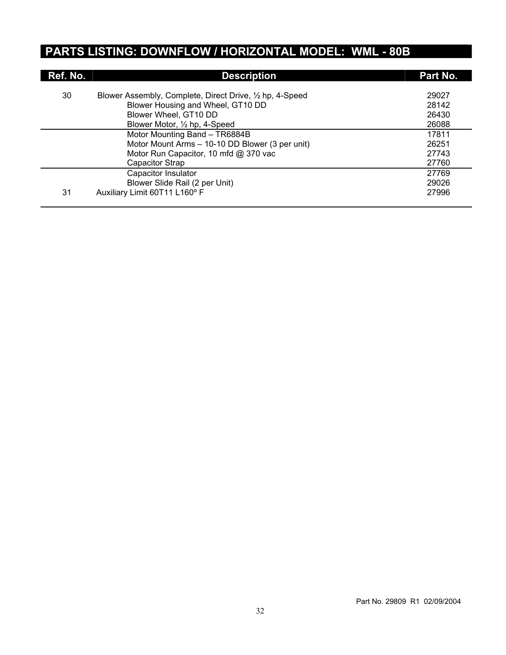## **PARTS LISTING: DOWNFLOW / HORIZONTAL MODEL: WML - 80B**

| Ref. No. | <b>Description</b>                                                                            | Part No.       |
|----------|-----------------------------------------------------------------------------------------------|----------------|
|          |                                                                                               |                |
| 30       | Blower Assembly, Complete, Direct Drive, 1/2 hp, 4-Speed<br>Blower Housing and Wheel, GT10 DD | 29027<br>28142 |
|          | Blower Wheel, GT10 DD                                                                         | 26430          |
|          | Blower Motor, 1/2 hp, 4-Speed                                                                 | 26088          |
|          | Motor Mounting Band - TR6884B                                                                 | 17811          |
|          | Motor Mount Arms - 10-10 DD Blower (3 per unit)                                               | 26251          |
|          | Motor Run Capacitor, 10 mfd @ 370 vac                                                         | 27743          |
|          | Capacitor Strap                                                                               | 27760          |
|          | Capacitor Insulator                                                                           | 27769          |
|          | Blower Slide Rail (2 per Unit)                                                                | 29026          |
| 31       | Auxiliary Limit 60T11 L160° F                                                                 | 27996          |